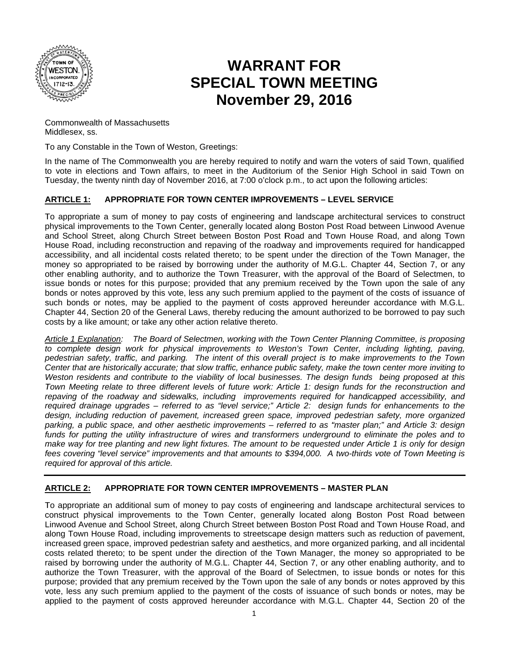

# **W WARRA NT FOR SPECIAL TOWN MEETING November 29, 2016**

Commonwealth of Massachusetts M Middlesex, ss .

To any Constable in the Town of Weston, Greetings:

In the name of The Commonwealth you are hereby required to notify and warn the voters of said Town, qualified to vote in elections and Town affairs, to meet in the Auditorium of the Senior High School in said Town on Tuesday, the twenty ninth day of November 2016, at 7:00 o'clock p.m., to act upon the following articles:

#### **A ARTICLE 1:**   $APPROPRIATE$  FOR TOWN CENTER IMPROVEMENTS – LEVEL SERVICE

To appropriate a sum of money to pay costs of engineering and landscape architectural services to construct physical improvements to the Town Center, generally located along Boston Post Road between Linwood Avenue and School Street, along Church Street between Boston Post Road and Town House Road, and along Town House Road, including reconstruction and repaving of the roadway and improvements required for handicapped accessibility, and all incidental costs related thereto; to be spent under the direction of the Town Manager, the money so appropriated to be raised by borrowing under the authority of M.G.L. Chapter 44, Section 7, or any other enabling authority, and to authorize the Town Treasurer, with the approval of the Board of Selectmen, to issue bonds or notes for this purpose; provided that any premium received by the Town upon the sale of any bonds or notes approved by this vote, less any such premium applied to the payment of the costs of issuance of such bonds or notes, may be applied to the payment of costs approved hereunder accordance with M.G.L. Chapter 44, Section 20 of the General Laws, thereby reducing the amount authorized to be borrowed to pay such costs by a like amount; or take any other action relative thereto.

Article 1 Explanation: The Board of Selectmen, working with the Town Center Planning Committee, is proposing to complete design work for physical improvements to Weston's Town Center, including lighting, paving, *pedestrian safety, traffic, and parking. The intent of this overall project is to make improvements to the Town* Center that are historically accurate; that slow traffic, enhance public safety, make the town center more inviting to *Weston residents and contribute to the viability of local businesses. The design funds being proposed at this Town Meeting relate to three different levels of future work: Article 1: design funds for the reconstruction and* repaving of the roadway and sidewalks, including improvements required for handicapped accessibility, and *required drainage upgrades – referred to as "level service;" Article 2: design funds for enhancements to the* design, including reduction of pavement, increased green space, improved pedestrian safety, more organized *p parking, a pu blic space, a nd other aes sthetic improv vements – ref ferred to as " "master plan; ;" and Article 3: design*  funds for putting the utility infrastructure of wires and transformers underground to eliminate the poles and to *make way for tree planting and new light fixtures. The amount to be requested under Article 1 is only for design* fees covering "level service" improvements and that amounts to \$394,000. A two-thirds vote of Town Meeting is *required for approval of this article.* 

#### **A ARTICLE 2: APPROPRIATE FOR TOWN CENTER IMPROVEMENTS – MASTER PLAN**

To appropriate an additional sum of money to pay costs of engineering and landscape architectural services to construct physical improvements to the Town Center, generally located along Boston Post Road between Linwood Avenue and School Street, along Church Street between Boston Post Road and Town House Road, and along Town House Road, including improvements to streetscape design matters such as reduction of pavement, increased green space, improved pedestrian safety and aesthetics, and more organized parking, and all incidental costs related thereto; to be spent under the direction of the Town Manager, the money so appropriated to be raised by borrowing under the authority of M.G.L. Chapter 44, Section 7, or any other enabling authority, and to authorize the Town Treasurer, with the approval of the Board of Selectmen, to issue bonds or notes for this purpose; provided that any premium received by the Town upon the sale of any bonds or notes approved by this vote, less any such premium applied to the payment of the costs of issuance of such bonds or notes, may be applied to the payment of costs approved hereunder accordance with M.G.L. Chapter 44, Section 20 of the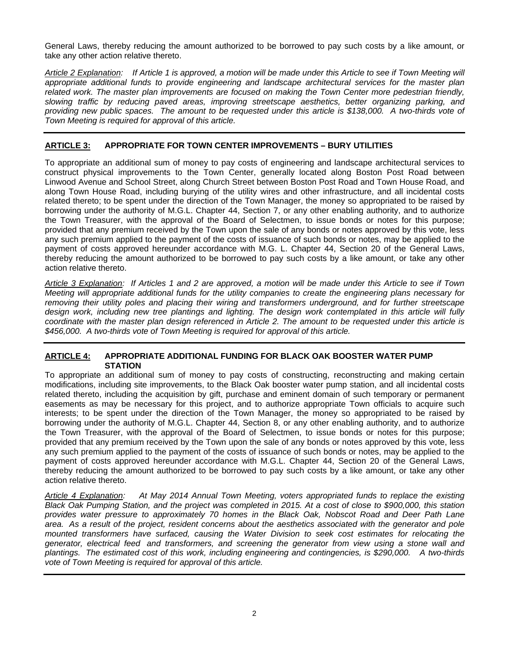General Laws, thereby reducing the amount authorized to be borrowed to pay such costs by a like amount, or take any other action relative thereto.

*Article 2 Explanation: If Article 1 is approved, a motion will be made under this Article to see if Town Meeting will appropriate additional funds to provide engineering and landscape architectural services for the master plan related work. The master plan improvements are focused on making the Town Center more pedestrian friendly, slowing traffic by reducing paved areas, improving streetscape aesthetics, better organizing parking, and providing new public spaces. The amount to be requested under this article is \$138,000. A two-thirds vote of Town Meeting is required for approval of this article.* 

## **ARTICLE 3: APPROPRIATE FOR TOWN CENTER IMPROVEMENTS – BURY UTILITIES**

To appropriate an additional sum of money to pay costs of engineering and landscape architectural services to construct physical improvements to the Town Center, generally located along Boston Post Road between Linwood Avenue and School Street, along Church Street between Boston Post Road and Town House Road, and along Town House Road, including burying of the utility wires and other infrastructure, and all incidental costs related thereto; to be spent under the direction of the Town Manager, the money so appropriated to be raised by borrowing under the authority of M.G.L. Chapter 44, Section 7, or any other enabling authority, and to authorize the Town Treasurer, with the approval of the Board of Selectmen, to issue bonds or notes for this purpose; provided that any premium received by the Town upon the sale of any bonds or notes approved by this vote, less any such premium applied to the payment of the costs of issuance of such bonds or notes, may be applied to the payment of costs approved hereunder accordance with M.G. L. Chapter 44, Section 20 of the General Laws, thereby reducing the amount authorized to be borrowed to pay such costs by a like amount, or take any other action relative thereto.

*Article 3 Explanation: If Articles 1 and 2 are approved, a motion will be made under this Article to see if Town Meeting will appropriate additional funds for the utility companies to create the engineering plans necessary for removing their utility poles and placing their wiring and transformers underground, and for further streetscape design work, including new tree plantings and lighting. The design work contemplated in this article will fully coordinate with the master plan design referenced in Article 2. The amount to be requested under this article is \$456,000. A two-thirds vote of Town Meeting is required for approval of this article.* 

#### **ARTICLE 4: APPROPRIATE ADDITIONAL FUNDING FOR BLACK OAK BOOSTER WATER PUMP STATION**

To appropriate an additional sum of money to pay costs of constructing, reconstructing and making certain modifications, including site improvements, to the Black Oak booster water pump station, and all incidental costs related thereto, including the acquisition by gift, purchase and eminent domain of such temporary or permanent easements as may be necessary for this project, and to authorize appropriate Town officials to acquire such interests; to be spent under the direction of the Town Manager, the money so appropriated to be raised by borrowing under the authority of M.G.L. Chapter 44, Section 8, or any other enabling authority, and to authorize the Town Treasurer, with the approval of the Board of Selectmen, to issue bonds or notes for this purpose; provided that any premium received by the Town upon the sale of any bonds or notes approved by this vote, less any such premium applied to the payment of the costs of issuance of such bonds or notes, may be applied to the payment of costs approved hereunder accordance with M.G.L. Chapter 44, Section 20 of the General Laws, thereby reducing the amount authorized to be borrowed to pay such costs by a like amount, or take any other action relative thereto.

*Article 4 Explanation: At May 2014 Annual Town Meeting, voters appropriated funds to replace the existing Black Oak Pumping Station, and the project was completed in 2015. At a cost of close to \$900,000, this station provides water pressure to approximately 70 homes in the Black Oak, Nobscot Road and Deer Path Lane area. As a result of the project, resident concerns about the aesthetics associated with the generator and pole mounted transformers have surfaced, causing the Water Division to seek cost estimates for relocating the generator, electrical feed and transformers, and screening the generator from view using a stone wall and plantings. The estimated cost of this work, including engineering and contingencies, is \$290,000. A two-thirds vote of Town Meeting is required for approval of this article.*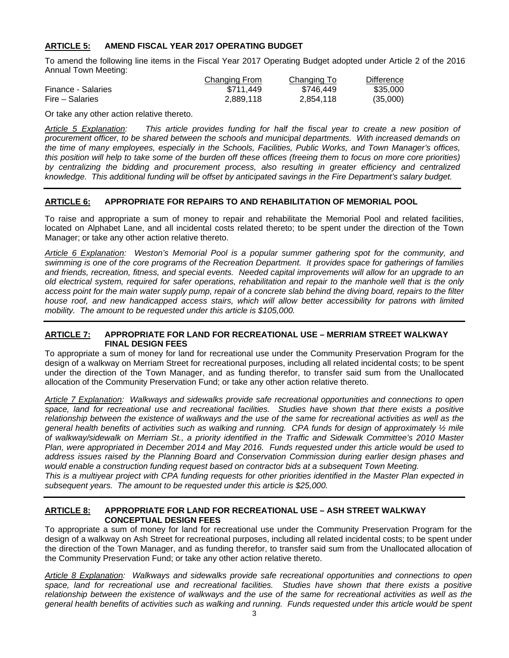# **ARTICLE 5: AMEND FISCAL YEAR 2017 OPERATING BUDGET**

To amend the following line items in the Fiscal Year 2017 Operating Budget adopted under Article 2 of the 2016 Annual Town Meeting:

|                    | Changing From | Changing To | <b>Difference</b> |
|--------------------|---------------|-------------|-------------------|
| Finance - Salaries | \$711.449     | \$746.449   | \$35,000          |
| Fire – Salaries    | 2.889.118     | 2.854.118   | (35,000)          |

Or take any other action relative thereto.

*Article 5 Explanation: This article provides funding for half the fiscal year to create a new position of procurement officer, to be shared between the schools and municipal departments. With increased demands on the time of many employees, especially in the Schools, Facilities, Public Works, and Town Manager's offices, this position will help to take some of the burden off these offices (freeing them to focus on more core priorities) by centralizing the bidding and procurement process, also resulting in greater efficiency and centralized knowledge. This additional funding will be offset by anticipated savings in the Fire Department's salary budget.* 

# **ARTICLE 6: APPROPRIATE FOR REPAIRS TO AND REHABILITATION OF MEMORIAL POOL**

To raise and appropriate a sum of money to repair and rehabilitate the Memorial Pool and related facilities, located on Alphabet Lane, and all incidental costs related thereto; to be spent under the direction of the Town Manager; or take any other action relative thereto.

*Article 6 Explanation: Weston's Memorial Pool is a popular summer gathering spot for the community, and swimming is one of the core programs of the Recreation Department. It provides space for gatherings of families and friends, recreation, fitness, and special events. Needed capital improvements will allow for an upgrade to an old electrical system, required for safer operations, rehabilitation and repair to the manhole well that is the only access point for the main water supply pump, repair of a concrete slab behind the diving board, repairs to the filter house roof, and new handicapped access stairs, which will allow better accessibility for patrons with limited mobility. The amount to be requested under this article is \$105,000.* 

#### **ARTICLE 7: APPROPRIATE FOR LAND FOR RECREATIONAL USE – MERRIAM STREET WALKWAY FINAL DESIGN FEES**

To appropriate a sum of money for land for recreational use under the Community Preservation Program for the design of a walkway on Merriam Street for recreational purposes, including all related incidental costs; to be spent under the direction of the Town Manager, and as funding therefor, to transfer said sum from the Unallocated allocation of the Community Preservation Fund; or take any other action relative thereto.

*Article 7 Explanation: Walkways and sidewalks provide safe recreational opportunities and connections to open*  space, land for recreational use and recreational facilities. Studies have shown that there exists a positive *relationship between the existence of walkways and the use of the same for recreational activities as well as the general health benefits of activities such as walking and running. CPA funds for design of approximately ½ mile of walkway/sidewalk on Merriam St., a priority identified in the Traffic and Sidewalk Committee's 2010 Master Plan, were appropriated in December 2014 and May 2016. Funds requested under this article would be used to address issues raised by the Planning Board and Conservation Commission during earlier design phases and would enable a construction funding request based on contractor bids at a subsequent Town Meeting. This is a multiyear project with CPA funding requests for other priorities identified in the Master Plan expected in* 

*subsequent years. The amount to be requested under this article is \$25,000.* 

#### **ARTICLE 8: APPROPRIATE FOR LAND FOR RECREATIONAL USE – ASH STREET WALKWAY CONCEPTUAL DESIGN FEES**

To appropriate a sum of money for land for recreational use under the Community Preservation Program for the design of a walkway on Ash Street for recreational purposes, including all related incidental costs; to be spent under the direction of the Town Manager, and as funding therefor, to transfer said sum from the Unallocated allocation of the Community Preservation Fund; or take any other action relative thereto.

*Article 8 Explanation: Walkways and sidewalks provide safe recreational opportunities and connections to open*  space, land for recreational use and recreational facilities. Studies have shown that there exists a positive *relationship between the existence of walkways and the use of the same for recreational activities as well as the general health benefits of activities such as walking and running. Funds requested under this article would be spent*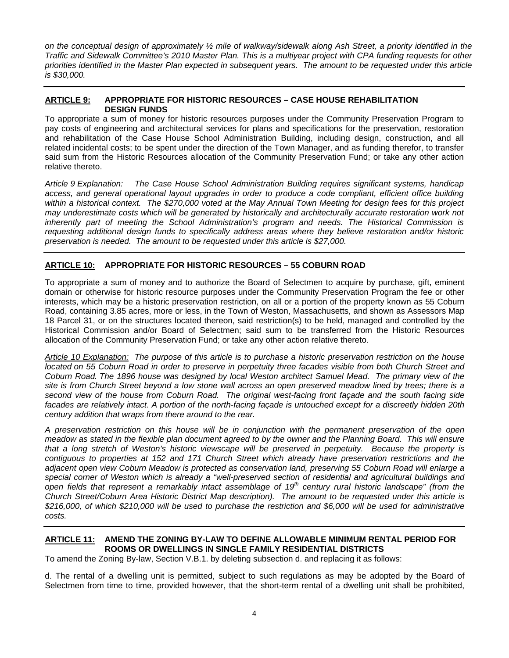*on the conceptual design of approximately ½ mile of walkway/sidewalk along Ash Street, a priority identified in the Traffic and Sidewalk Committee's 2010 Master Plan. This is a multiyear project with CPA funding requests for other priorities identified in the Master Plan expected in subsequent years. The amount to be requested under this article is \$30,000.* 

#### **ARTICLE 9: APPROPRIATE FOR HISTORIC RESOURCES – CASE HOUSE REHABILITATION DESIGN FUNDS**

To appropriate a sum of money for historic resources purposes under the Community Preservation Program to pay costs of engineering and architectural services for plans and specifications for the preservation, restoration and rehabilitation of the Case House School Administration Building, including design, construction, and all related incidental costs; to be spent under the direction of the Town Manager, and as funding therefor, to transfer said sum from the Historic Resources allocation of the Community Preservation Fund; or take any other action relative thereto.

*Article 9 Explanation: The Case House School Administration Building requires significant systems, handicap access, and general operational layout upgrades in order to produce a code compliant, efficient office building within a historical context. The \$270,000 voted at the May Annual Town Meeting for design fees for this project*  may underestimate costs which will be generated by historically and architecturally accurate restoration work not *inherently part of meeting the School Administration's program and needs. The Historical Commission is requesting additional design funds to specifically address areas where they believe restoration and/or historic preservation is needed. The amount to be requested under this article is \$27,000.* 

# **ARTICLE 10: APPROPRIATE FOR HISTORIC RESOURCES – 55 COBURN ROAD**

To appropriate a sum of money and to authorize the Board of Selectmen to acquire by purchase, gift, eminent domain or otherwise for historic resource purposes under the Community Preservation Program the fee or other interests, which may be a historic preservation restriction, on all or a portion of the property known as 55 Coburn Road, containing 3.85 acres, more or less, in the Town of Weston, Massachusetts, and shown as Assessors Map 18 Parcel 31, or on the structures located thereon, said restriction(s) to be held, managed and controlled by the Historical Commission and/or Board of Selectmen; said sum to be transferred from the Historic Resources allocation of the Community Preservation Fund; or take any other action relative thereto.

*Article 10 Explanation: The purpose of this article is to purchase a historic preservation restriction on the house located on 55 Coburn Road in order to preserve in perpetuity three facades visible from both Church Street and Coburn Road. The 1896 house was designed by local Weston architect Samuel Mead. The primary view of the site is from Church Street beyond a low stone wall across an open preserved meadow lined by trees; there is a second view of the house from Coburn Road. The original west-facing front façade and the south facing side*  facades are relatively intact. A portion of the north-facing facade is untouched except for a discreetly hidden 20th *century addition that wraps from there around to the rear.* 

*A preservation restriction on this house will be in conjunction with the permanent preservation of the open meadow as stated in the flexible plan document agreed to by the owner and the Planning Board. This will ensure that a long stretch of Weston's historic viewscape will be preserved in perpetuity. Because the property is contiguous to properties at 152 and 171 Church Street which already have preservation restrictions and the adjacent open view Coburn Meadow is protected as conservation land, preserving 55 Coburn Road will enlarge a*  special corner of Weston which is already a "well-preserved section of residential and agricultural buildings and *open fields that represent a remarkably intact assemblage of 19th century rural historic landscape" (from the Church Street/Coburn Area Historic District Map description). The amount to be requested under this article is \$216,000, of which \$210,000 will be used to purchase the restriction and \$6,000 will be used for administrative costs.* 

# **ARTICLE 11: AMEND THE ZONING BY-LAW TO DEFINE ALLOWABLE MINIMUM RENTAL PERIOD FOR ROOMS OR DWELLINGS IN SINGLE FAMILY RESIDENTIAL DISTRICTS**

To amend the Zoning By-law, Section V.B.1. by deleting subsection d. and replacing it as follows:

d. The rental of a dwelling unit is permitted, subject to such regulations as may be adopted by the Board of Selectmen from time to time, provided however, that the short-term rental of a dwelling unit shall be prohibited,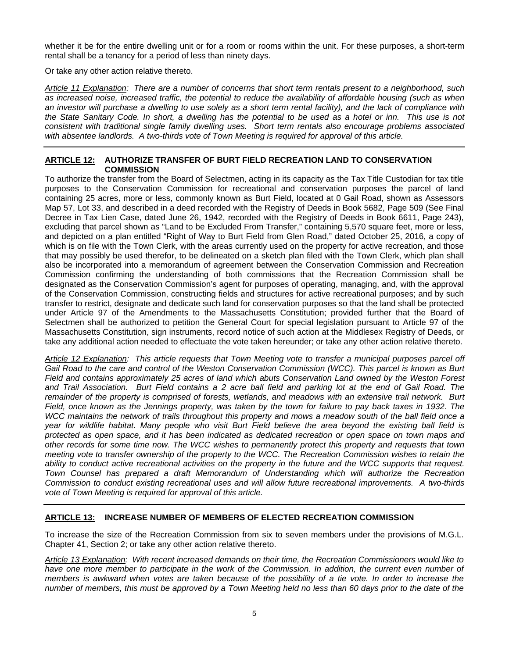whether it be for the entire dwelling unit or for a room or rooms within the unit. For these purposes, a short-term rental shall be a tenancy for a period of less than ninety days.

Or take any other action relative thereto.

*Article 11 Explanation: There are a number of concerns that short term rentals present to a neighborhood, such as increased noise, increased traffic, the potential to reduce the availability of affordable housing (such as when an investor will purchase a dwelling to use solely as a short term rental facility), and the lack of compliance with the State Sanitary Code. In short, a dwelling has the potential to be used as a hotel or inn. This use is not consistent with traditional single family dwelling uses. Short term rentals also encourage problems associated with absentee landlords. A two-thirds vote of Town Meeting is required for approval of this article.* 

## **ARTICLE 12: AUTHORIZE TRANSFER OF BURT FIELD RECREATION LAND TO CONSERVATION COMMISSION**

To authorize the transfer from the Board of Selectmen, acting in its capacity as the Tax Title Custodian for tax title purposes to the Conservation Commission for recreational and conservation purposes the parcel of land containing 25 acres, more or less, commonly known as Burt Field, located at 0 Gail Road, shown as Assessors Map 57, Lot 33, and described in a deed recorded with the Registry of Deeds in Book 5682, Page 509 (See Final Decree in Tax Lien Case, dated June 26, 1942, recorded with the Registry of Deeds in Book 6611, Page 243), excluding that parcel shown as "Land to be Excluded From Transfer," containing 5,570 square feet, more or less, and depicted on a plan entitled "Right of Way to Burt Field from Glen Road," dated October 25, 2016, a copy of which is on file with the Town Clerk, with the areas currently used on the property for active recreation, and those that may possibly be used therefor, to be delineated on a sketch plan filed with the Town Clerk, which plan shall also be incorporated into a memorandum of agreement between the Conservation Commission and Recreation Commission confirming the understanding of both commissions that the Recreation Commission shall be designated as the Conservation Commission's agent for purposes of operating, managing, and, with the approval of the Conservation Commission, constructing fields and structures for active recreational purposes; and by such transfer to restrict, designate and dedicate such land for conservation purposes so that the land shall be protected under Article 97 of the Amendments to the Massachusetts Constitution; provided further that the Board of Selectmen shall be authorized to petition the General Court for special legislation pursuant to Article 97 of the Massachusetts Constitution, sign instruments, record notice of such action at the Middlesex Registry of Deeds, or take any additional action needed to effectuate the vote taken hereunder; or take any other action relative thereto.

*Article 12 Explanation: This article requests that Town Meeting vote to transfer a municipal purposes parcel off Gail Road to the care and control of the Weston Conservation Commission (WCC). This parcel is known as Burt Field and contains approximately 25 acres of land which abuts Conservation Land owned by the Weston Forest and Trail Association. Burt Field contains a 2 acre ball field and parking lot at the end of Gail Road. The remainder of the property is comprised of forests, wetlands, and meadows with an extensive trail network. Burt Field, once known as the Jennings property, was taken by the town for failure to pay back taxes in 1932. The WCC maintains the network of trails throughout this property and mows a meadow south of the ball field once a year for wildlife habitat. Many people who visit Burt Field believe the area beyond the existing ball field is protected as open space, and it has been indicated as dedicated recreation or open space on town maps and other records for some time now. The WCC wishes to permanently protect this property and requests that town meeting vote to transfer ownership of the property to the WCC. The Recreation Commission wishes to retain the ability to conduct active recreational activities on the property in the future and the WCC supports that request. Town Counsel has prepared a draft Memorandum of Understanding which will authorize the Recreation Commission to conduct existing recreational uses and will allow future recreational improvements. A two-thirds vote of Town Meeting is required for approval of this article.* 

# **ARTICLE 13: INCREASE NUMBER OF MEMBERS OF ELECTED RECREATION COMMISSION**

To increase the size of the Recreation Commission from six to seven members under the provisions of M.G.L. Chapter 41, Section 2; or take any other action relative thereto.

*Article 13 Explanation: With recent increased demands on their time, the Recreation Commissioners would like to have one more member to participate in the work of the Commission. In addition, the current even number of members is awkward when votes are taken because of the possibility of a tie vote. In order to increase the number of members, this must be approved by a Town Meeting held no less than 60 days prior to the date of the*